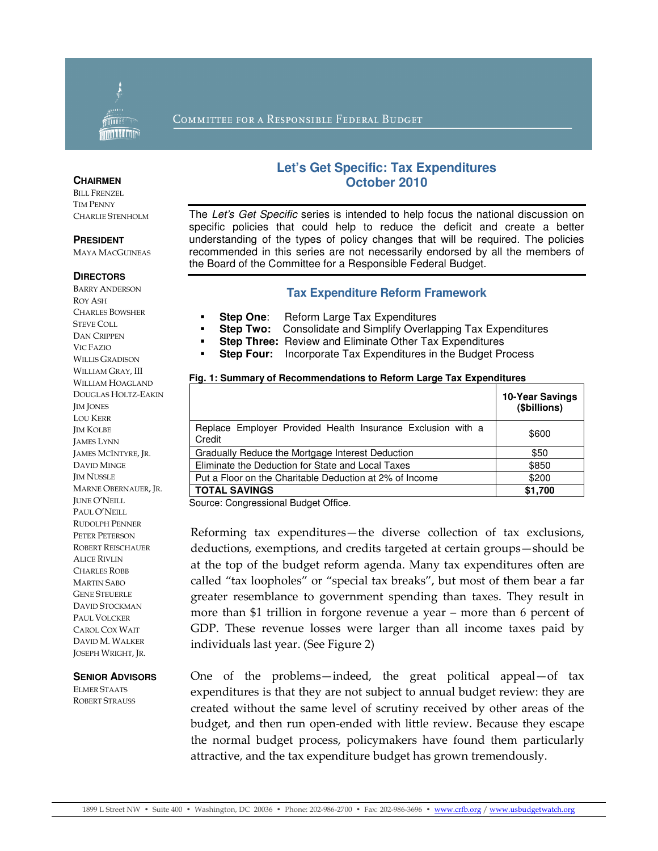

### COMMITTEE FOR A RESPONSIBLE FEDERAL BUDGET

#### **CHAIRMEN**

BILL FRENZEL TIM PENNY CHARLIE STENHOLM

#### **PRESIDENT**

MAYA MACGUINEAS

#### **DIRECTORS**

BARRY ANDERSON ROY ASH CHARLES BOWSHER STEVE COLL DAN CRIPPEN VIC FAZIO WILLIS GRADISON WILLIAM GRAY, III WILLIAM HOAGLAND DOUGLAS HOLTZ-EAKIN JIM JONES LOU KERR JIM KOLBE JAMES LYNN JAMES MCINTYRE, JR. DAVID MINGE **IM NUSSLE** MARNE OBERNAUER, JR. JUNE O'NEILL PAUL O'NEILL RUDOLPH PENNER PETER PETERSON ROBERT REISCHAUER ALICE RIVLIN CHARLES ROBB MARTIN SABO GENE STEUERLE DAVID STOCKMAN PAUL VOLCKER CAROL COX WAIT DAVID M. WALKER JOSEPH WRIGHT, JR.

#### **SENIOR ADVISORS**

ELMER STAATS ROBERT STRAUSS

## **Let's Get Specific: Tax Expenditures October 2010**

The Let's Get Specific series is intended to help focus the national discussion on specific policies that could help to reduce the deficit and create a better understanding of the types of policy changes that will be required. The policies recommended in this series are not necessarily endorsed by all the members of the Board of the Committee for a Responsible Federal Budget.

### **Tax Expenditure Reform Framework**

- **Step One:** Reform Large Tax Expenditures
- **Step Two:** Consolidate and Simplify Overlapping Tax Expenditures
- **Step Three:** Review and Eliminate Other Tax Expenditures
- **Step Four:** Incorporate Tax Expenditures in the Budget Process

#### **Fig. 1: Summary of Recommendations to Reform Large Tax Expenditures**

|                                                                       | 10-Year Savings<br>(\$billions) |
|-----------------------------------------------------------------------|---------------------------------|
| Replace Employer Provided Health Insurance Exclusion with a<br>Credit | \$600                           |
| Gradually Reduce the Mortgage Interest Deduction                      | \$50                            |
| Eliminate the Deduction for State and Local Taxes                     | \$850                           |
| Put a Floor on the Charitable Deduction at 2% of Income               | \$200                           |
| <b>TOTAL SAVINGS</b>                                                  | \$1,700                         |

Source: Congressional Budget Office.

Reforming tax expenditures—the diverse collection of tax exclusions, deductions, exemptions, and credits targeted at certain groups—should be at the top of the budget reform agenda. Many tax expenditures often are called "tax loopholes" or "special tax breaks", but most of them bear a far greater resemblance to government spending than taxes. They result in more than \$1 trillion in forgone revenue a year – more than 6 percent of GDP. These revenue losses were larger than all income taxes paid by individuals last year. (See Figure 2)

One of the problems—indeed, the great political appeal—of tax expenditures is that they are not subject to annual budget review: they are created without the same level of scrutiny received by other areas of the budget, and then run open-ended with little review. Because they escape the normal budget process, policymakers have found them particularly attractive, and the tax expenditure budget has grown tremendously.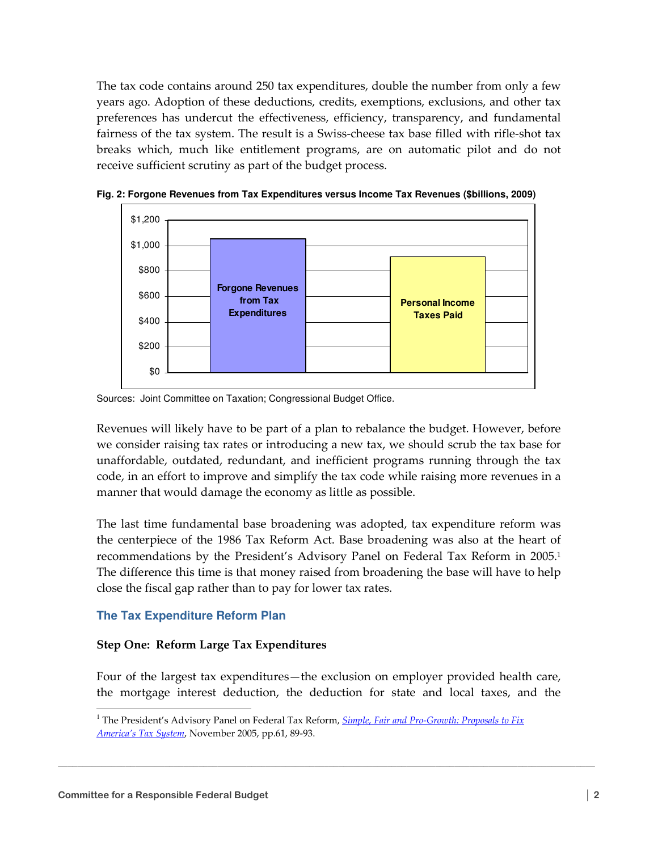The tax code contains around 250 tax expenditures, double the number from only a few years ago. Adoption of these deductions, credits, exemptions, exclusions, and other tax preferences has undercut the effectiveness, efficiency, transparency, and fundamental fairness of the tax system. The result is a Swiss-cheese tax base filled with rifle-shot tax breaks which, much like entitlement programs, are on automatic pilot and do not receive sufficient scrutiny as part of the budget process.



**Fig. 2: Forgone Revenues from Tax Expenditures versus Income Tax Revenues (\$billions, 2009)** 

Sources: Joint Committee on Taxation; Congressional Budget Office.

Revenues will likely have to be part of a plan to rebalance the budget. However, before we consider raising tax rates or introducing a new tax, we should scrub the tax base for unaffordable, outdated, redundant, and inefficient programs running through the tax code, in an effort to improve and simplify the tax code while raising more revenues in a manner that would damage the economy as little as possible.

The last time fundamental base broadening was adopted, tax expenditure reform was the centerpiece of the 1986 Tax Reform Act. Base broadening was also at the heart of recommendations by the President's Advisory Panel on Federal Tax Reform in 2005.<sup>1</sup> The difference this time is that money raised from broadening the base will have to help close the fiscal gap rather than to pay for lower tax rates.

## **The Tax Expenditure Reform Plan**

## Step One: Reform Large Tax Expenditures

Four of the largest tax expenditures—the exclusion on employer provided health care, the mortgage interest deduction, the deduction for state and local taxes, and the

\_\_\_\_\_\_\_\_\_\_\_\_\_\_\_\_\_\_\_\_\_\_\_\_\_\_\_\_\_\_\_\_\_\_\_\_\_\_\_\_\_\_\_\_\_\_\_\_\_\_\_\_\_\_\_\_\_\_\_\_\_\_\_\_\_\_\_\_\_\_\_\_\_\_\_\_\_\_\_\_\_\_\_\_\_\_\_\_\_\_\_\_\_\_\_\_\_\_\_\_\_\_\_\_\_\_\_\_\_\_\_

 $\overline{a}$ 

<sup>&</sup>lt;sup>1</sup> The President's Advisory Panel on Federal Tax Reform, **Simple, Fair and Pro-Growth: Proposals to Fix** America's Tax System, November 2005, pp.61, 89-93.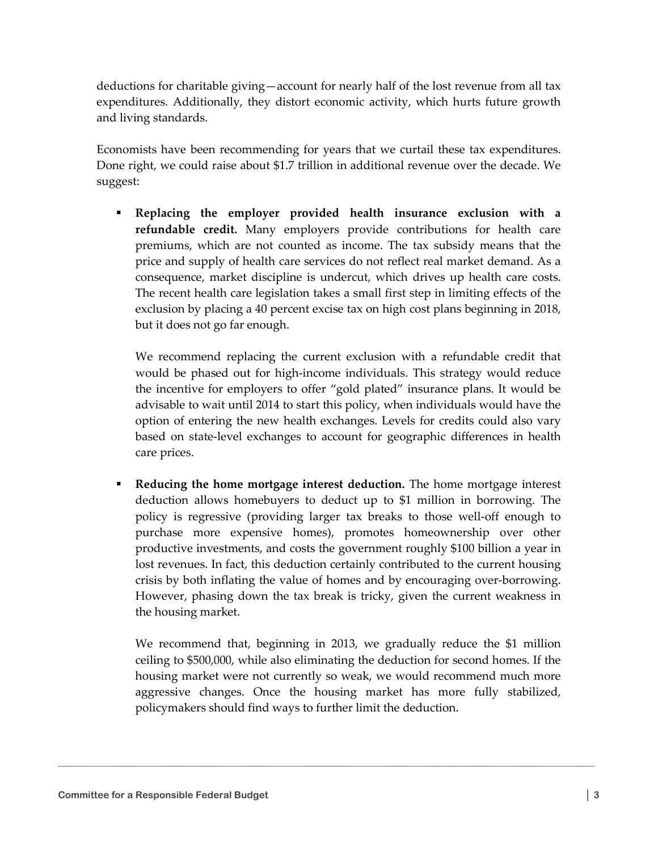deductions for charitable giving—account for nearly half of the lost revenue from all tax expenditures. Additionally, they distort economic activity, which hurts future growth and living standards.

Economists have been recommending for years that we curtail these tax expenditures. Done right, we could raise about \$1.7 trillion in additional revenue over the decade. We suggest:

 Replacing the employer provided health insurance exclusion with a refundable credit. Many employers provide contributions for health care premiums, which are not counted as income. The tax subsidy means that the price and supply of health care services do not reflect real market demand. As a consequence, market discipline is undercut, which drives up health care costs. The recent health care legislation takes a small first step in limiting effects of the exclusion by placing a 40 percent excise tax on high cost plans beginning in 2018, but it does not go far enough.

We recommend replacing the current exclusion with a refundable credit that would be phased out for high-income individuals. This strategy would reduce the incentive for employers to offer "gold plated" insurance plans. It would be advisable to wait until 2014 to start this policy, when individuals would have the option of entering the new health exchanges. Levels for credits could also vary based on state-level exchanges to account for geographic differences in health care prices.

**Reducing the home mortgage interest deduction.** The home mortgage interest deduction allows homebuyers to deduct up to \$1 million in borrowing. The policy is regressive (providing larger tax breaks to those well-off enough to purchase more expensive homes), promotes homeownership over other productive investments, and costs the government roughly \$100 billion a year in lost revenues. In fact, this deduction certainly contributed to the current housing crisis by both inflating the value of homes and by encouraging over-borrowing. However, phasing down the tax break is tricky, given the current weakness in the housing market.

We recommend that, beginning in 2013, we gradually reduce the \$1 million ceiling to \$500,000, while also eliminating the deduction for second homes. If the housing market were not currently so weak, we would recommend much more aggressive changes. Once the housing market has more fully stabilized, policymakers should find ways to further limit the deduction.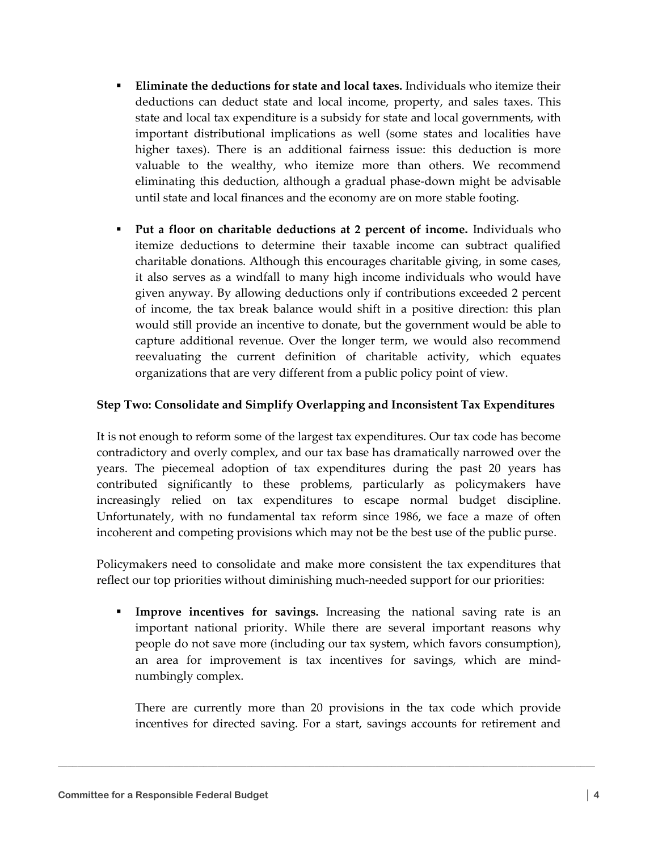- **Eliminate the deductions for state and local taxes.** Individuals who itemize their deductions can deduct state and local income, property, and sales taxes. This state and local tax expenditure is a subsidy for state and local governments, with important distributional implications as well (some states and localities have higher taxes). There is an additional fairness issue: this deduction is more valuable to the wealthy, who itemize more than others. We recommend eliminating this deduction, although a gradual phase-down might be advisable until state and local finances and the economy are on more stable footing.
- Put a floor on charitable deductions at 2 percent of income**.** Individuals who itemize deductions to determine their taxable income can subtract qualified charitable donations. Although this encourages charitable giving, in some cases, it also serves as a windfall to many high income individuals who would have given anyway. By allowing deductions only if contributions exceeded 2 percent of income, the tax break balance would shift in a positive direction: this plan would still provide an incentive to donate, but the government would be able to capture additional revenue. Over the longer term, we would also recommend reevaluating the current definition of charitable activity, which equates organizations that are very different from a public policy point of view.

# Step Two: Consolidate and Simplify Overlapping and Inconsistent Tax Expenditures

It is not enough to reform some of the largest tax expenditures. Our tax code has become contradictory and overly complex, and our tax base has dramatically narrowed over the years. The piecemeal adoption of tax expenditures during the past 20 years has contributed significantly to these problems, particularly as policymakers have increasingly relied on tax expenditures to escape normal budget discipline. Unfortunately, with no fundamental tax reform since 1986, we face a maze of often incoherent and competing provisions which may not be the best use of the public purse.

Policymakers need to consolidate and make more consistent the tax expenditures that reflect our top priorities without diminishing much-needed support for our priorities:

 Improve incentives for savings. Increasing the national saving rate is an important national priority. While there are several important reasons why people do not save more (including our tax system, which favors consumption), an area for improvement is tax incentives for savings, which are mindnumbingly complex.

There are currently more than 20 provisions in the tax code which provide incentives for directed saving. For a start, savings accounts for retirement and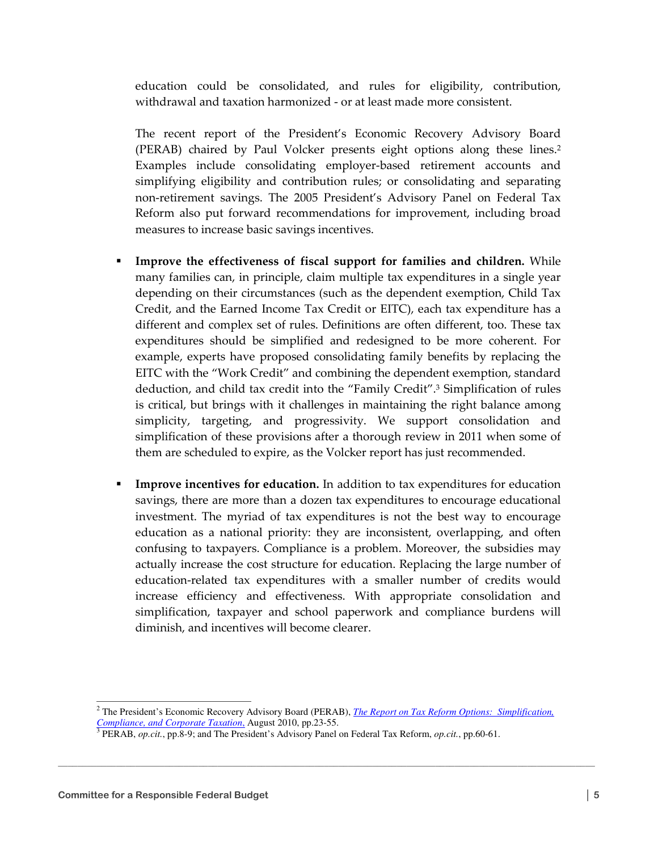education could be consolidated, and rules for eligibility, contribution, withdrawal and taxation harmonized - or at least made more consistent.

The recent report of the President's Economic Recovery Advisory Board (PERAB) chaired by Paul Volcker presents eight options along these lines.<sup>2</sup> Examples include consolidating employer-based retirement accounts and simplifying eligibility and contribution rules; or consolidating and separating non-retirement savings. The 2005 President's Advisory Panel on Federal Tax Reform also put forward recommendations for improvement, including broad measures to increase basic savings incentives.

- Improve the effectiveness of fiscal support for families and children. While many families can, in principle, claim multiple tax expenditures in a single year depending on their circumstances (such as the dependent exemption, Child Tax Credit, and the Earned Income Tax Credit or EITC), each tax expenditure has a different and complex set of rules. Definitions are often different, too. These tax expenditures should be simplified and redesigned to be more coherent. For example, experts have proposed consolidating family benefits by replacing the EITC with the "Work Credit" and combining the dependent exemption, standard deduction, and child tax credit into the "Family Credit".3 Simplification of rules is critical, but brings with it challenges in maintaining the right balance among simplicity, targeting, and progressivity. We support consolidation and simplification of these provisions after a thorough review in 2011 when some of them are scheduled to expire, as the Volcker report has just recommended.
- Improve incentives for education. In addition to tax expenditures for education savings, there are more than a dozen tax expenditures to encourage educational investment. The myriad of tax expenditures is not the best way to encourage education as a national priority: they are inconsistent, overlapping, and often confusing to taxpayers. Compliance is a problem. Moreover, the subsidies may actually increase the cost structure for education. Replacing the large number of education-related tax expenditures with a smaller number of credits would increase efficiency and effectiveness. With appropriate consolidation and simplification, taxpayer and school paperwork and compliance burdens will diminish, and incentives will become clearer.

\_\_\_\_\_\_\_\_\_\_\_\_\_\_\_\_\_\_\_\_\_\_\_\_\_\_\_\_\_\_\_\_\_\_\_\_\_\_\_\_\_\_\_\_\_\_\_\_\_\_\_\_\_\_\_\_\_\_\_\_\_\_\_\_\_\_\_\_\_\_\_\_\_\_\_\_\_\_\_\_\_\_\_\_\_\_\_\_\_\_\_\_\_\_\_\_\_\_\_\_\_\_\_\_\_\_\_\_\_\_\_

 $\overline{a}$ 

<sup>&</sup>lt;sup>2</sup> The President's Economic Recovery Advisory Board (PERAB), *The Report on Tax Reform Options: Simplification*, *Compliance, and Corporate Taxation*, August 2010, pp.23-55. 3 PERAB, *op.cit.*, pp.8-9; and The President's Advisory Panel on Federal Tax Reform, *op.cit.*, pp.60-61.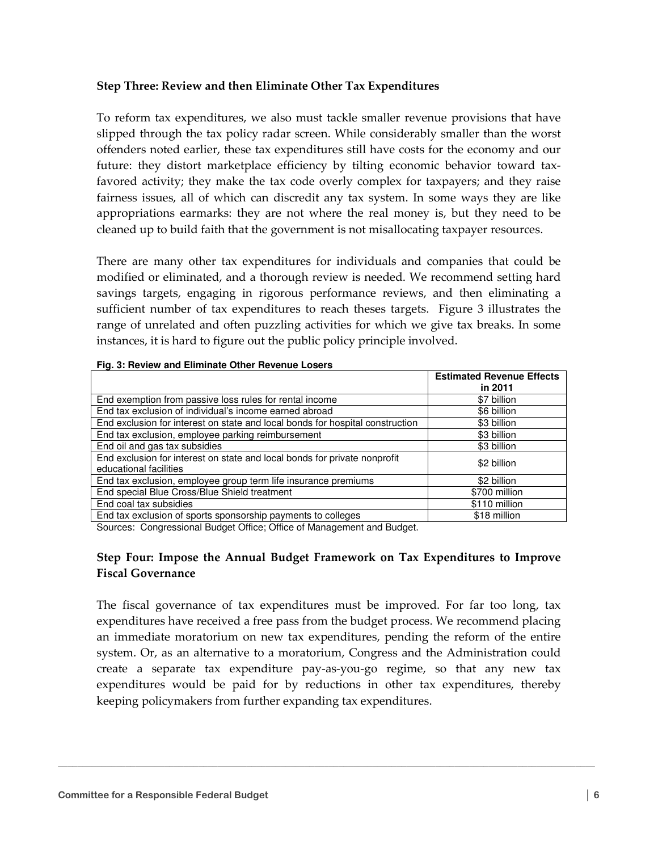## Step Three: Review and then Eliminate Other Tax Expenditures

To reform tax expenditures, we also must tackle smaller revenue provisions that have slipped through the tax policy radar screen. While considerably smaller than the worst offenders noted earlier, these tax expenditures still have costs for the economy and our future: they distort marketplace efficiency by tilting economic behavior toward taxfavored activity; they make the tax code overly complex for taxpayers; and they raise fairness issues, all of which can discredit any tax system. In some ways they are like appropriations earmarks: they are not where the real money is, but they need to be cleaned up to build faith that the government is not misallocating taxpayer resources.

There are many other tax expenditures for individuals and companies that could be modified or eliminated, and a thorough review is needed. We recommend setting hard savings targets, engaging in rigorous performance reviews, and then eliminating a sufficient number of tax expenditures to reach theses targets. Figure 3 illustrates the range of unrelated and often puzzling activities for which we give tax breaks. In some instances, it is hard to figure out the public policy principle involved.

|                                                                                                     | <b>Estimated Revenue Effects</b> |
|-----------------------------------------------------------------------------------------------------|----------------------------------|
|                                                                                                     | in 2011                          |
| End exemption from passive loss rules for rental income                                             | \$7 billion                      |
| End tax exclusion of individual's income earned abroad                                              | \$6 billion                      |
| End exclusion for interest on state and local bonds for hospital construction                       | \$3 billion                      |
| End tax exclusion, employee parking reimbursement                                                   | \$3 billion                      |
| End oil and gas tax subsidies                                                                       | \$3 billion                      |
| End exclusion for interest on state and local bonds for private nonprofit<br>educational facilities | \$2 billion                      |
| End tax exclusion, employee group term life insurance premiums                                      | \$2 billion                      |
| End special Blue Cross/Blue Shield treatment                                                        | \$700 million                    |
| End coal tax subsidies                                                                              | \$110 million                    |
| End tax exclusion of sports sponsorship payments to colleges                                        | \$18 million                     |

#### **Fig. 3: Review and Eliminate Other Revenue Losers**

Sources: Congressional Budget Office; Office of Management and Budget.

## Step Four: Impose the Annual Budget Framework on Tax Expenditures to Improve Fiscal Governance

The fiscal governance of tax expenditures must be improved. For far too long, tax expenditures have received a free pass from the budget process. We recommend placing an immediate moratorium on new tax expenditures, pending the reform of the entire system. Or, as an alternative to a moratorium, Congress and the Administration could create a separate tax expenditure pay-as-you-go regime, so that any new tax expenditures would be paid for by reductions in other tax expenditures, thereby keeping policymakers from further expanding tax expenditures.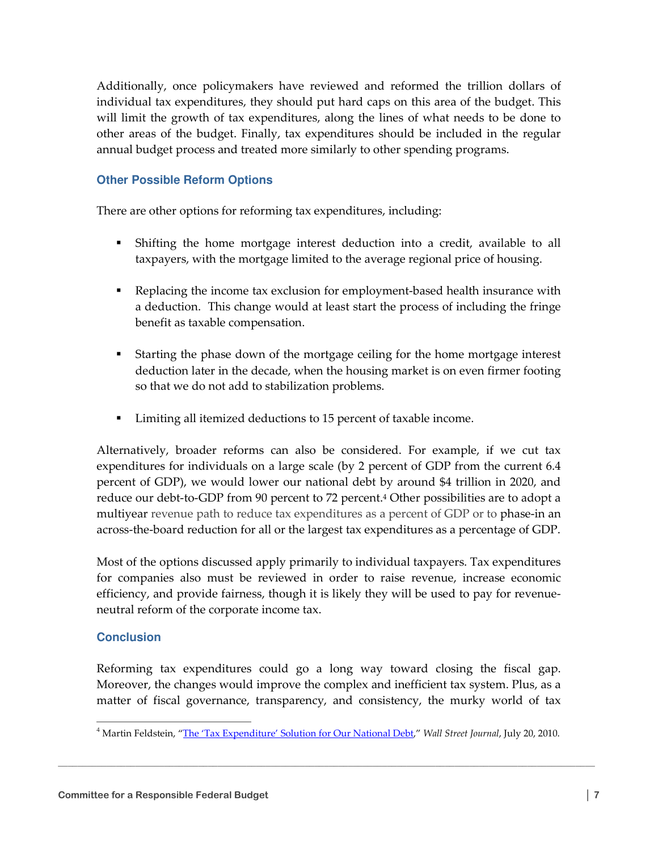Additionally, once policymakers have reviewed and reformed the trillion dollars of individual tax expenditures, they should put hard caps on this area of the budget. This will limit the growth of tax expenditures, along the lines of what needs to be done to other areas of the budget. Finally, tax expenditures should be included in the regular annual budget process and treated more similarly to other spending programs.

# **Other Possible Reform Options**

There are other options for reforming tax expenditures, including:

- Shifting the home mortgage interest deduction into a credit, available to all taxpayers, with the mortgage limited to the average regional price of housing.
- Replacing the income tax exclusion for employment-based health insurance with a deduction. This change would at least start the process of including the fringe benefit as taxable compensation.
- Starting the phase down of the mortgage ceiling for the home mortgage interest deduction later in the decade, when the housing market is on even firmer footing so that we do not add to stabilization problems.
- Limiting all itemized deductions to 15 percent of taxable income.

Alternatively, broader reforms can also be considered. For example, if we cut tax expenditures for individuals on a large scale (by 2 percent of GDP from the current 6.4 percent of GDP), we would lower our national debt by around \$4 trillion in 2020, and reduce our debt-to-GDP from 90 percent to 72 percent.4 Other possibilities are to adopt a multiyear revenue path to reduce tax expenditures as a percent of GDP or to phase-in an across-the-board reduction for all or the largest tax expenditures as a percentage of GDP.

Most of the options discussed apply primarily to individual taxpayers. Tax expenditures for companies also must be reviewed in order to raise revenue, increase economic efficiency, and provide fairness, though it is likely they will be used to pay for revenueneutral reform of the corporate income tax.

## **Conclusion**

 $\overline{a}$ 

Reforming tax expenditures could go a long way toward closing the fiscal gap. Moreover, the changes would improve the complex and inefficient tax system. Plus, as a matter of fiscal governance, transparency, and consistency, the murky world of tax

<sup>&</sup>lt;sup>4</sup> Martin Feldstein, "The 'Tax Expenditure' Solution for Our National Debt," Wall Street Journal, July 20, 2010.